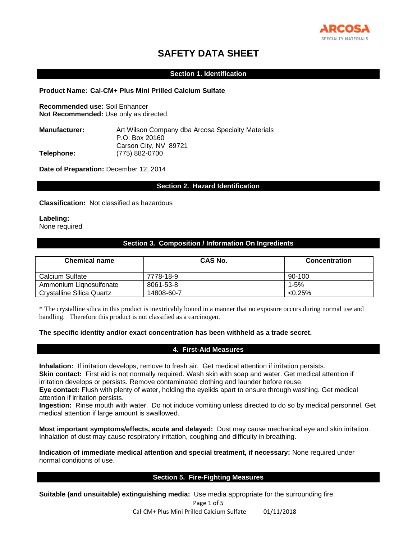

# **SAFETY DATA SHEET**

### **Section 1. Identification**

### **Product Name: Cal-CM+ Plus Mini Prilled Calcium Sulfate**

**Recommended use:** Soil Enhancer **Not Recommended:** Use only as directed.

| <b>Manufacturer:</b> | Art Wilson Company dba Arcosa Specialty Materials |
|----------------------|---------------------------------------------------|
|                      | P.O. Box 20160                                    |
|                      | Carson City, NV 89721                             |
| Telephone:           | (775) 882-0700                                    |
|                      |                                                   |

**Date of Preparation:** December 12, 2014

### **Section 2. Hazard Identification**

**Classification:** Not classified as hazardous

**Labeling:** 

None required

# **Section 3. Composition / Information On Ingredients**

| <b>Chemical name</b>      | CAS No.    | <b>Concentration</b> |
|---------------------------|------------|----------------------|
| Calcium Sulfate           | 7778-18-9  | 90-100               |
| Ammonium Lignosulfonate   | 8061-53-8  | $1 - 5%$             |
| Crystalline Silica Quartz | 14808-60-7 | $< 0.25\%$           |

\* The crystalline silica in this product is inextricably bound in a manner that no exposure occurs during normal use and handling. Therefore this product is not classified as a carcinogen.

#### **The specific identity and/or exact concentration has been withheld as a trade secret.**

### **4. First-Aid Measures**

**Inhalation:** If irritation develops, remove to fresh air. Get medical attention if irritation persists. **Skin contact:** First aid is not normally required. Wash skin with soap and water. Get medical attention if

irritation develops or persists. Remove contaminated clothing and launder before reuse.

**Eye contact:** Flush with plenty of water, holding the eyelids apart to ensure through washing. Get medical attention if irritation persists.

**Ingestion:** Rinse mouth with water. Do not induce vomiting unless directed to do so by medical personnel. Get medical attention if large amount is swallowed.

**Most important symptoms/effects, acute and delayed:** Dust may cause mechanical eye and skin irritation. Inhalation of dust may cause respiratory irritation, coughing and difficulty in breathing.

**Indication of immediate medical attention and special treatment, if necessary:** None required under normal conditions of use.

### **Section 5. Fire-Fighting Measures**

**Suitable (and unsuitable) extinguishing media:** Use media appropriate for the surrounding fire.

Page 1 of 5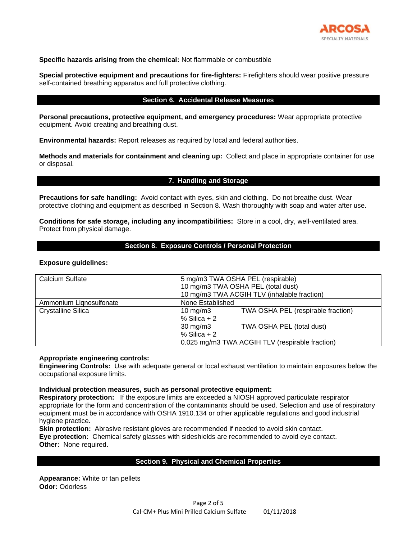

### **Specific hazards arising from the chemical:** Not flammable or combustible

**Special protective equipment and precautions for fire-fighters:** Firefighters should wear positive pressure self-contained breathing apparatus and full protective clothing.

### **Section 6. Accidental Release Measures**

**Personal precautions, protective equipment, and emergency procedures:** Wear appropriate protective equipment. Avoid creating and breathing dust.

**Environmental hazards:** Report releases as required by local and federal authorities.

**Methods and materials for containment and cleaning up:** Collect and place in appropriate container for use or disposal.

**7. Handling and Storage**

**Precautions for safe handling:** Avoid contact with eyes, skin and clothing. Do not breathe dust. Wear protective clothing and equipment as described in Section 8. Wash thoroughly with soap and water after use.

**Conditions for safe storage, including any incompatibilities:** Store in a cool, dry, well-ventilated area. Protect from physical damage.

### **Section 8. Exposure Controls / Personal Protection**

#### **Exposure guidelines:**

| <b>Calcium Sulfate</b>    | 5 mg/m3 TWA OSHA PEL (respirable)<br>10 mg/m3 TWA OSHA PEL (total dust)<br>10 mg/m3 TWA ACGIH TLV (inhalable fraction) |  |  |
|---------------------------|------------------------------------------------------------------------------------------------------------------------|--|--|
| Ammonium Lignosulfonate   | None Established                                                                                                       |  |  |
| <b>Crystalline Silica</b> | TWA OSHA PEL (respirable fraction)<br>10 mg/m3<br>$%$ Silica + 2                                                       |  |  |
|                           | TWA OSHA PEL (total dust)<br>$30 \text{ mg/m}$<br>$%$ Silica + 2                                                       |  |  |
|                           | 0.025 mg/m3 TWA ACGIH TLV (respirable fraction)                                                                        |  |  |

#### **Appropriate engineering controls:**

**Engineering Controls:** Use with adequate general or local exhaust ventilation to maintain exposures below the occupational exposure limits.

#### **Individual protection measures, such as personal protective equipment:**

**Respiratory protection:** If the exposure limits are exceeded a NIOSH approved particulate respirator appropriate for the form and concentration of the contaminants should be used. Selection and use of respiratory equipment must be in accordance with OSHA 1910.134 or other applicable regulations and good industrial hygiene practice.

**Skin protection:** Abrasive resistant gloves are recommended if needed to avoid skin contact. **Eye protection:** Chemical safety glasses with sideshields are recommended to avoid eye contact. **Other:** None required.

### **Section 9. Physical and Chemical Properties**

**Appearance:** White or tan pellets **Odor:** Odorless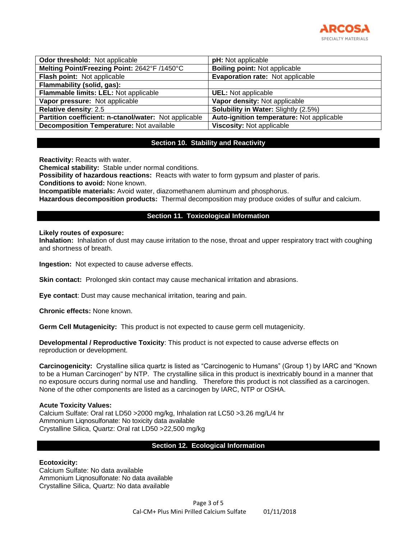

| <b>Odor threshold:</b> Not applicable                 | pH: Not applicable                          |  |  |
|-------------------------------------------------------|---------------------------------------------|--|--|
| Melting Point/Freezing Point: 2642°F /1450°C          | <b>Boiling point: Not applicable</b>        |  |  |
| Flash point: Not applicable                           | Evaporation rate: Not applicable            |  |  |
| Flammability (solid, gas):                            |                                             |  |  |
| Flammable limits: LEL: Not applicable                 | <b>UEL:</b> Not applicable                  |  |  |
| Vapor pressure: Not applicable                        | Vapor density: Not applicable               |  |  |
| Relative density: 2.5                                 | <b>Solubility in Water: Slightly (2.5%)</b> |  |  |
| Partition coefficient: n-ctanol/water: Not applicable | Auto-ignition temperature: Not applicable   |  |  |
| <b>Decomposition Temperature: Not available</b>       | Viscosity: Not applicable                   |  |  |

# **Section 10. Stability and Reactivity**

**Reactivity:** Reacts with water.

**Chemical stability:** Stable under normal conditions.

**Possibility of hazardous reactions:** Reacts with water to form gypsum and plaster of paris.

**Conditions to avoid:** None known.

**Incompatible materials:** Avoid water, diazomethanem aluminum and phosphorus.

**Hazardous decomposition products:** Thermal decomposition may produce oxides of sulfur and calcium.

# **Section 11. Toxicological Information**

#### **Likely routes of exposure:**

**Inhalation:** Inhalation of dust may cause irritation to the nose, throat and upper respiratory tract with coughing and shortness of breath.

**Ingestion:** Not expected to cause adverse effects.

**Skin contact:** Prolonged skin contact may cause mechanical irritation and abrasions.

**Eye contact**: Dust may cause mechanical irritation, tearing and pain.

**Chronic effects:** None known.

**Germ Cell Mutagenicity:** This product is not expected to cause germ cell mutagenicity.

**Developmental / Reproductive Toxicity**: This product is not expected to cause adverse effects on reproduction or development.

**Carcinogenicity:** Crystalline silica quartz is listed as "Carcinogenic to Humans" (Group 1) by IARC and "Known to be a Human Carcinogen" by NTP. The crystalline silica in this product is inextricably bound in a manner that no exposure occurs during normal use and handling. Therefore this product is not classified as a carcinogen. None of the other components are listed as a carcinogen by IARC, NTP or OSHA.

### **Acute Toxicity Values:**

Calcium Sulfate: Oral rat LD50 >2000 mg/kg, Inhalation rat LC50 >3.26 mg/L/4 hr Ammonium Lignosulfonate: No toxicity data available Crystalline Silica, Quartz: Oral rat LD50 >22,500 mg/kg

# **Section 12. Ecological Information**

### **Ecotoxicity:**

Calcium Sulfate: No data available Ammonium Liqnosulfonate: No data available Crystalline Silica, Quartz: No data available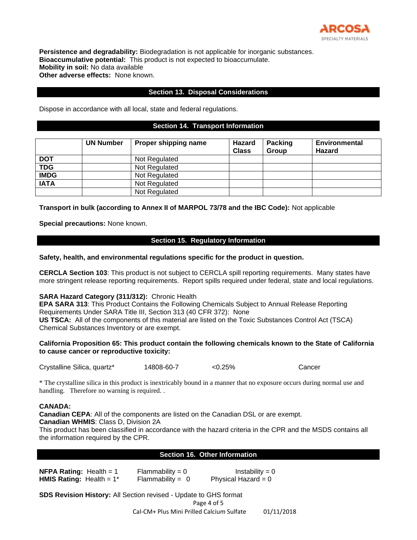

**Persistence and degradability:** Biodegradation is not applicable for inorganic substances. **Bioaccumulative potential:** This product is not expected to bioaccumulate. **Mobility in soil:** No data available **Other adverse effects:** None known.

### **Section 13. Disposal Considerations**

Dispose in accordance with all local, state and federal regulations.

### **Section 14. Transport Information**

|             | <b>UN Number</b> | Proper shipping name | Hazard<br><b>Class</b> | <b>Packing</b><br><b>Group</b> | <b>Environmental</b><br><b>Hazard</b> |
|-------------|------------------|----------------------|------------------------|--------------------------------|---------------------------------------|
| <b>DOT</b>  |                  | Not Regulated        |                        |                                |                                       |
| <b>TDG</b>  |                  | Not Regulated        |                        |                                |                                       |
| <b>IMDG</b> |                  | Not Regulated        |                        |                                |                                       |
| <b>IATA</b> |                  | Not Regulated        |                        |                                |                                       |
|             |                  | Not Regulated        |                        |                                |                                       |

**Transport in bulk (according to Annex II of MARPOL 73/78 and the IBC Code):** Not applicable

**Special precautions:** None known.

# **Section 15. Regulatory Information**

**Safety, health, and environmental regulations specific for the product in question.**

**CERCLA Section 103**: This product is not subject to CERCLA spill reporting requirements. Many states have more stringent release reporting requirements. Report spills required under federal, state and local regulations.

### **SARA Hazard Category (311/312):** Chronic Health

**EPA SARA 313**: This Product Contains the Following Chemicals Subject to Annual Release Reporting Requirements Under SARA Title III, Section 313 (40 CFR 372): None **US TSCA:** All of the components of this material are listed on the Toxic Substances Control Act (TSCA)

Chemical Substances Inventory or are exempt.

# **California Proposition 65: This product contain the following chemicals known to the State of California to cause cancer or reproductive toxicity:**

Crystalline Silica, quartz\* 14808-60-7 <0.25% Cancer

\* The crystalline silica in this product is inextricably bound in a manner that no exposure occurs during normal use and handling. Therefore no warning is required..

### **CANADA:**

**Canadian CEPA**: All of the components are listed on the Canadian DSL or are exempt. **Canadian WHMIS**: Class D, Division 2A

This product has been classified in accordance with the hazard criteria in the CPR and the MSDS contains all the information required by the CPR.

### **Section 16. Other Information**

**NFPA Rating:**  $\text{Health} = 1$  Flammability = 0 Instability = 0 **HMIS Rating:** Health = 1<sup>\*</sup> Flammability = 0 Physical Hazard = 0

Page 4 of 5 **SDS Revision History:** All Section revised - Update to GHS format

Cal-CM+ Plus Mini Prilled Calcium Sulfate 01/11/2018